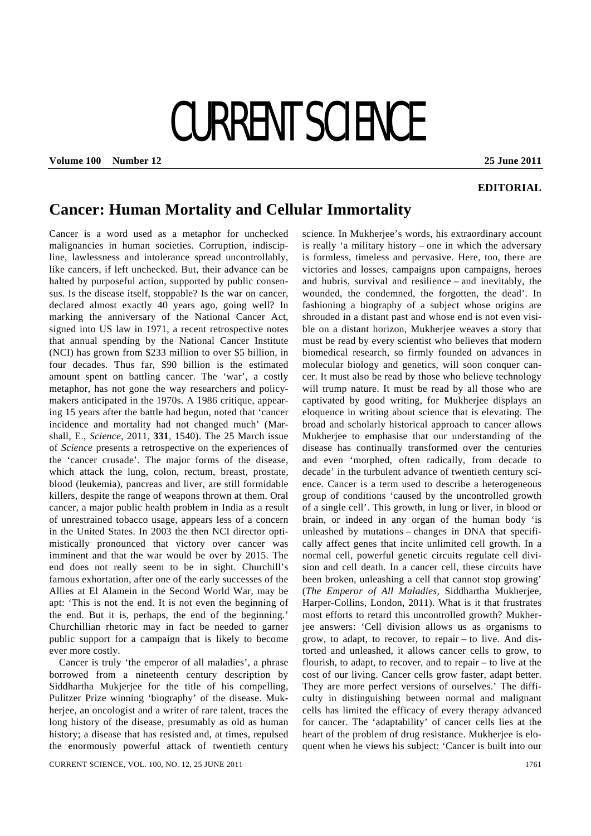# CURRENT SCIENCE

**Volume 100 Number 12 25 June 2011** 

### **EDITORIAL**

## **Cancer: Human Mortality and Cellular Immortality**

Cancer is a word used as a metaphor for unchecked malignancies in human societies. Corruption, indiscipline, lawlessness and intolerance spread uncontrollably, like cancers, if left unchecked. But, their advance can be halted by purposeful action, supported by public consensus. Is the disease itself, stoppable? Is the war on cancer, declared almost exactly 40 years ago, going well? In marking the anniversary of the National Cancer Act, signed into US law in 1971, a recent retrospective notes that annual spending by the National Cancer Institute (NCI) has grown from \$233 million to over \$5 billion, in four decades. Thus far, \$90 billion is the estimated amount spent on battling cancer. The 'war', a costly metaphor, has not gone the way researchers and policymakers anticipated in the 1970s. A 1986 critique, appearing 15 years after the battle had begun, noted that 'cancer incidence and mortality had not changed much' (Marshall, E., *Science*, 2011, **331**, 1540). The 25 March issue of *Science* presents a retrospective on the experiences of the 'cancer crusade'. The major forms of the disease, which attack the lung, colon, rectum, breast, prostate, blood (leukemia), pancreas and liver, are still formidable killers, despite the range of weapons thrown at them. Oral cancer, a major public health problem in India as a result of unrestrained tobacco usage, appears less of a concern in the United States. In 2003 the then NCI director optimistically pronounced that victory over cancer was imminent and that the war would be over by 2015. The end does not really seem to be in sight. Churchill's famous exhortation, after one of the early successes of the Allies at El Alamein in the Second World War, may be apt: 'This is not the end. It is not even the beginning of the end. But it is, perhaps, the end of the beginning.' Churchillian rhetoric may in fact be needed to garner public support for a campaign that is likely to become ever more costly.

 Cancer is truly 'the emperor of all maladies', a phrase borrowed from a nineteenth century description by Siddhartha Mukjerjee for the title of his compelling, Pulitzer Prize winning 'biography' of the disease. Mukherjee, an oncologist and a writer of rare talent, traces the long history of the disease, presumably as old as human history; a disease that has resisted and, at times, repulsed the enormously powerful attack of twentieth century

CURRENT SCIENCE, VOL. 100, NO. 12, 25 JUNE 2011 1761

science. In Mukherjee's words, his extraordinary account is really 'a military history – one in which the adversary is formless, timeless and pervasive. Here, too, there are victories and losses, campaigns upon campaigns, heroes and hubris, survival and resilience – and inevitably, the wounded, the condemned, the forgotten, the dead'. In fashioning a biography of a subject whose origins are shrouded in a distant past and whose end is not even visible on a distant horizon, Mukherjee weaves a story that must be read by every scientist who believes that modern biomedical research, so firmly founded on advances in molecular biology and genetics, will soon conquer cancer. It must also be read by those who believe technology will trump nature. It must be read by all those who are captivated by good writing, for Mukherjee displays an eloquence in writing about science that is elevating. The broad and scholarly historical approach to cancer allows Mukherjee to emphasise that our understanding of the disease has continually transformed over the centuries and even 'morphed, often radically, from decade to decade' in the turbulent advance of twentieth century science. Cancer is a term used to describe a heterogeneous group of conditions 'caused by the uncontrolled growth of a single cell'. This growth, in lung or liver, in blood or brain, or indeed in any organ of the human body 'is unleashed by mutations – changes in DNA that specifically affect genes that incite unlimited cell growth. In a normal cell, powerful genetic circuits regulate cell division and cell death. In a cancer cell, these circuits have been broken, unleashing a cell that cannot stop growing' (*The Emperor of All Maladies*, Siddhartha Mukherjee, Harper-Collins, London, 2011). What is it that frustrates most efforts to retard this uncontrolled growth? Mukherjee answers: 'Cell division allows us as organisms to grow, to adapt, to recover, to repair – to live. And distorted and unleashed, it allows cancer cells to grow, to flourish, to adapt, to recover, and to repair – to live at the cost of our living. Cancer cells grow faster, adapt better. They are more perfect versions of ourselves.' The difficulty in distinguishing between normal and malignant cells has limited the efficacy of every therapy advanced for cancer. The 'adaptability' of cancer cells lies at the heart of the problem of drug resistance. Mukherjee is eloquent when he views his subject: 'Cancer is built into our